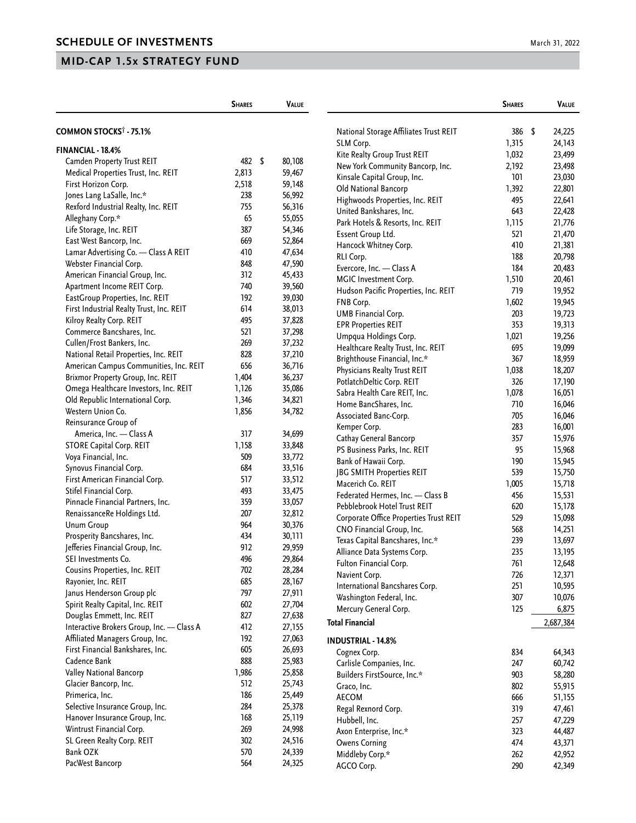|                                           | <b>SHARES</b><br><b>VALUE</b> |  |        | <b>SHARES</b>                          |       | <b>VALUE</b> |           |
|-------------------------------------------|-------------------------------|--|--------|----------------------------------------|-------|--------------|-----------|
| <b>COMMON STOCKS<sup>†</sup> - 75.1%</b>  |                               |  |        | National Storage Affiliates Trust REIT | 386   | - \$         | 24,225    |
|                                           |                               |  |        | SLM Corp.                              | 1,315 |              | 24,143    |
| FINANCIAL - 18.4%                         |                               |  |        | Kite Realty Group Trust REIT           | 1,032 |              | 23,499    |
| Camden Property Trust REIT                | 482 \$                        |  | 80,108 | New York Community Bancorp, Inc.       | 2,192 |              | 23,498    |
| Medical Properties Trust, Inc. REIT       | 2,813                         |  | 59,467 | Kinsale Capital Group, Inc.            | 101   |              | 23,030    |
| First Horizon Corp.                       | 2,518                         |  | 59,148 | Old National Bancorp                   | 1,392 |              | 22,801    |
| Jones Lang LaSalle, Inc.*                 | 238                           |  | 56,992 | Highwoods Properties, Inc. REIT        | 495   |              | 22,641    |
| Rexford Industrial Realty, Inc. REIT      | 755                           |  | 56,316 | United Bankshares, Inc.                | 643   |              | 22,428    |
| Alleghany Corp.*                          | 65                            |  | 55,055 | Park Hotels & Resorts, Inc. REIT       | 1,115 |              | 21,776    |
| Life Storage, Inc. REIT                   | 387                           |  | 54,346 | Essent Group Ltd.                      | 521   |              | 21,470    |
| East West Bancorp, Inc.                   | 669                           |  | 52,864 | Hancock Whitney Corp.                  | 410   |              | 21,381    |
| Lamar Advertising Co. - Class A REIT      | 410                           |  | 47,634 | RLI Corp.                              | 188   |              | 20,798    |
| Webster Financial Corp.                   | 848                           |  | 47,590 | Evercore, Inc. - Class A               | 184   |              | 20,483    |
| American Financial Group, Inc.            | 312                           |  | 45,433 | MGIC Investment Corp.                  | 1,510 |              | 20,461    |
| Apartment Income REIT Corp.               | 740                           |  | 39,560 | Hudson Pacific Properties, Inc. REIT   | 719   |              | 19,952    |
| EastGroup Properties, Inc. REIT           | 192                           |  | 39,030 | FNB Corp.                              | 1,602 |              | 19,945    |
| First Industrial Realty Trust, Inc. REIT  | 614                           |  | 38,013 | <b>UMB Financial Corp.</b>             | 203   |              | 19,723    |
| Kilroy Realty Corp. REIT                  | 495                           |  | 37,828 | <b>EPR Properties REIT</b>             | 353   |              | 19,313    |
| Commerce Bancshares, Inc.                 | 521                           |  | 37,298 | Umpqua Holdings Corp.                  | 1,021 |              | 19,256    |
| Cullen/Frost Bankers, Inc.                | 269                           |  | 37,232 | Healthcare Realty Trust, Inc. REIT     | 695   |              | 19,099    |
| National Retail Properties, Inc. REIT     | 828                           |  | 37,210 | Brighthouse Financial, Inc.*           | 367   |              | 18,959    |
| American Campus Communities, Inc. REIT    | 656                           |  | 36,716 | Physicians Realty Trust REIT           | 1,038 |              | 18,207    |
| Brixmor Property Group, Inc. REIT         | 1,404                         |  | 36,237 | PotlatchDeltic Corp. REIT              | 326   |              | 17,190    |
| Omega Healthcare Investors, Inc. REIT     | 1,126                         |  | 35,086 | Sabra Health Care REIT, Inc.           | 1,078 |              | 16,051    |
| Old Republic International Corp.          | 1,346                         |  | 34,821 | Home BancShares, Inc.                  | 710   |              | 16,046    |
| Western Union Co.                         | 1,856                         |  | 34,782 | Associated Banc-Corp.                  | 705   |              | 16,046    |
| Reinsurance Group of                      |                               |  |        | Kemper Corp.                           | 283   |              | 16,001    |
| America, Inc. - Class A                   | 317                           |  | 34,699 | Cathay General Bancorp                 | 357   |              | 15,976    |
| STORE Capital Corp. REIT                  | 1,158                         |  | 33,848 | PS Business Parks, Inc. REIT           | 95    |              | 15,968    |
| Voya Financial, Inc.                      | 509                           |  | 33,772 | Bank of Hawaii Corp.                   | 190   |              | 15,945    |
| Synovus Financial Corp.                   | 684                           |  | 33,516 | JBG SMITH Properties REIT              | 539   |              | 15,750    |
| First American Financial Corp.            | 517                           |  | 33,512 | Macerich Co. REIT                      | 1,005 |              | 15,718    |
| Stifel Financial Corp.                    | 493                           |  | 33,475 | Federated Hermes, Inc. - Class B       | 456   |              | 15,531    |
| Pinnacle Financial Partners, Inc.         | 359                           |  | 33,057 | Pebblebrook Hotel Trust REIT           | 620   |              | 15,178    |
| RenaissanceRe Holdings Ltd.               | 207                           |  | 32,812 | Corporate Office Properties Trust REIT | 529   |              | 15,098    |
| <b>Unum Group</b>                         | 964                           |  | 30,376 | CNO Financial Group, Inc.              | 568   |              | 14,251    |
| Prosperity Bancshares, Inc.               | 434                           |  | 30,111 | Texas Capital Bancshares, Inc.*        | 239   |              | 13,697    |
| Jefferies Financial Group, Inc.           | 912                           |  | 29,959 | Alliance Data Systems Corp.            | 235   |              | 13,195    |
| SEI Investments Co.                       | 496                           |  | 29,864 | Fulton Financial Corp.                 | 761   |              | 12,648    |
| Cousins Properties, Inc. REIT             | 702                           |  | 28,284 | Navient Corp.                          | 726   |              | 12,371    |
| Rayonier, Inc. REIT                       | 685                           |  | 28,167 | International Bancshares Corp.         | 251   |              | 10,595    |
| Janus Henderson Group plc                 | 797                           |  | 27,911 | Washington Federal, Inc.               | 307   |              | 10,076    |
| Spirit Realty Capital, Inc. REIT          | 602                           |  | 27,704 | Mercury General Corp.                  | 125   |              | 6,875     |
| Douglas Emmett, Inc. REIT                 | 827                           |  | 27,638 |                                        |       |              |           |
| Interactive Brokers Group, Inc. - Class A | 412                           |  | 27,155 | <b>Total Financial</b>                 |       |              | 2,687,384 |
| Affiliated Managers Group, Inc.           | 192                           |  | 27,063 | <b>INDUSTRIAL - 14.8%</b>              |       |              |           |
| First Financial Bankshares, Inc.          | 605                           |  | 26,693 | Cognex Corp.                           | 834   |              | 64,343    |
| Cadence Bank                              | 888                           |  | 25,983 | Carlisle Companies, Inc.               | 247   |              | 60,742    |
| Valley National Bancorp                   | 1,986                         |  | 25,858 | Builders FirstSource, Inc.*            | 903   |              | 58,280    |
| Glacier Bancorp, Inc.                     | 512                           |  | 25,743 | Graco, Inc.                            | 802   |              | 55,915    |
| Primerica, Inc.                           | 186                           |  | 25,449 | <b>AECOM</b>                           | 666   |              | 51,155    |
| Selective Insurance Group, Inc.           | 284                           |  | 25,378 | Regal Rexnord Corp.                    | 319   |              | 47,461    |
| Hanover Insurance Group, Inc.             | 168                           |  | 25,119 | Hubbell, Inc.                          | 257   |              | 47,229    |
| Wintrust Financial Corp.                  | 269                           |  | 24,998 | Axon Enterprise, Inc.*                 | 323   |              | 44,487    |
| SL Green Realty Corp. REIT                | 302                           |  | 24,516 | <b>Owens Corning</b>                   | 474   |              | 43,371    |
| Bank OZK                                  | 570                           |  | 24,339 | Middleby Corp.*                        | 262   |              | 42,952    |
| PacWest Bancorp                           | 564                           |  | 24,325 | AGCO Corp.                             | 290   |              | 42,349    |
|                                           |                               |  |        |                                        |       |              |           |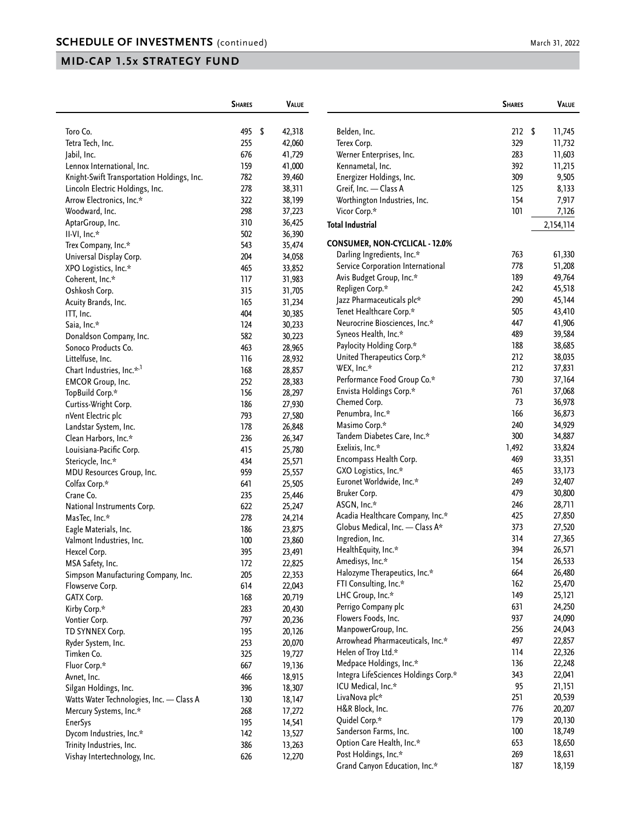|                                            | <b>SHARES</b> |     | <b>VALUE</b> |                                       | <b>SHARES</b> | <b>VALUE</b> |
|--------------------------------------------|---------------|-----|--------------|---------------------------------------|---------------|--------------|
| Toro Co.                                   | 495           | -\$ | 42,318       | Belden, Inc.                          | 212S          | 11,745       |
| Tetra Tech, Inc.                           | 255           |     | 42,060       | Terex Corp.                           | 329           | 11,732       |
| Jabil, Inc.                                | 676           |     | 41,729       | Werner Enterprises, Inc.              | 283           | 11,603       |
| Lennox International, Inc.                 | 159           |     | 41,000       | Kennametal, Inc.                      | 392           | 11,215       |
| Knight-Swift Transportation Holdings, Inc. | 782           |     | 39,460       | Energizer Holdings, Inc.              | 309           | 9,505        |
| Lincoln Electric Holdings, Inc.            | 278           |     | 38,311       | Greif, Inc. - Class A                 | 125           | 8,133        |
| Arrow Electronics, Inc.*                   | 322           |     | 38,199       | Worthington Industries, Inc.          | 154           | 7,917        |
| Woodward, Inc.                             | 298           |     | 37,223       | Vicor Corp.*                          | 101           | 7,126        |
| AptarGroup, Inc.                           | 310           |     | 36,425       |                                       |               |              |
| II-VI, Inc.*                               | 502           |     | 36,390       | <b>Total Industrial</b>               |               | 2,154,114    |
| Trex Company, Inc.*                        | 543           |     | 35,474       | <b>CONSUMER, NON-CYCLICAL - 12.0%</b> |               |              |
| Universal Display Corp.                    | 204           |     | 34,058       | Darling Ingredients, Inc.*            | 763           | 61,330       |
|                                            | 465           |     | 33,852       | Service Corporation International     | 778           | 51,208       |
| XPO Logistics, Inc.*                       | 117           |     |              | Avis Budget Group, Inc.*              | 189           | 49,764       |
| Coherent, Inc.*                            |               |     | 31,983       | Repligen Corp.*                       | 242           | 45,518       |
| Oshkosh Corp.                              | 315           |     | 31,705       | Jazz Pharmaceuticals plc*             | 290           | 45,144       |
| Acuity Brands, Inc.                        | 165           |     | 31,234       | Tenet Healthcare Corp.*               | 505           | 43,410       |
| ITT, Inc.                                  | 404           |     | 30,385       | Neurocrine Biosciences, Inc.*         | 447           | 41,906       |
| Saia, Inc.*                                | 124           |     | 30,233       |                                       | 489           |              |
| Donaldson Company, Inc.                    | 582           |     | 30,223       | Syneos Health, Inc.*                  |               | 39,584       |
| Sonoco Products Co.                        | 463           |     | 28,965       | Paylocity Holding Corp.*              | 188           | 38,685       |
| Littelfuse, Inc.                           | 116           |     | 28,932       | United Therapeutics Corp.*            | 212           | 38,035       |
| Chart Industries, Inc.* <sup>,1</sup>      | 168           |     | 28,857       | WEX, Inc.*                            | 212           | 37,831       |
| <b>EMCOR Group, Inc.</b>                   | 252           |     | 28,383       | Performance Food Group Co.*           | 730           | 37,164       |
| TopBuild Corp.*                            | 156           |     | 28,297       | Envista Holdings Corp.*               | 761           | 37,068       |
| Curtiss-Wright Corp.                       | 186           |     | 27,930       | Chemed Corp.                          | 73            | 36,978       |
| nVent Electric plc                         | 793           |     | 27,580       | Penumbra, Inc.*                       | 166           | 36,873       |
| Landstar System, Inc.                      | 178           |     | 26,848       | Masimo Corp.*                         | 240           | 34,929       |
| Clean Harbors, Inc.*                       | 236           |     | 26,347       | Tandem Diabetes Care, Inc.*           | 300           | 34,887       |
| Louisiana-Pacific Corp.                    | 415           |     | 25,780       | Exelixis, Inc.*                       | 1,492         | 33,824       |
| Stericycle, Inc.*                          | 434           |     | 25,571       | Encompass Health Corp.                | 469           | 33,351       |
| MDU Resources Group, Inc.                  | 959           |     | 25,557       | GXO Logistics, Inc.*                  | 465           | 33,173       |
| Colfax Corp.*                              | 641           |     | 25,505       | Euronet Worldwide, Inc.*              | 249           | 32,407       |
| Crane Co.                                  | 235           |     | 25,446       | Bruker Corp.                          | 479           | 30,800       |
| National Instruments Corp.                 | 622           |     | 25,247       | ASGN, Inc.*                           | 246           | 28,711       |
| MasTec, Inc.*                              | 278           |     | 24,214       | Acadia Healthcare Company, Inc.*      | 425           | 27,850       |
| Eagle Materials, Inc.                      | 186           |     | 23,875       | Globus Medical, Inc. - Class A*       | 373           | 27,520       |
| Valmont Industries, Inc.                   | 100           |     | 23,860       | Ingredion, Inc.                       | 314           | 27,365       |
| Hexcel Corp.                               | 395           |     | 23,491       | HealthEquity, Inc.*                   | 394           | 26,571       |
| MSA Safety, Inc.                           | 172           |     | 22,825       | Amedisys, Inc.*                       | 154           | 26,533       |
| Simpson Manufacturing Company, Inc.        | 205           |     | 22,353       | Halozyme Therapeutics, Inc.*          | 664           | 26,480       |
| Flowserve Corp.                            | 614           |     | 22,043       | FTI Consulting, Inc.*                 | 162           | 25,470       |
| GATX Corp.                                 |               |     |              | LHC Group, Inc.*                      | 149           | 25,121       |
|                                            | 168           |     | 20,719       | Perrigo Company plc                   | 631           | 24,250       |
| Kirby Corp.*                               | 283           |     | 20,430       | Flowers Foods, Inc.                   | 937           | 24,090       |
| Vontier Corp.                              | 797           |     | 20,236       | ManpowerGroup, Inc.                   | 256           | 24,043       |
| TD SYNNEX Corp.                            | 195           |     | 20,126       | Arrowhead Pharmaceuticals, Inc.*      | 497           | 22,857       |
| Ryder System, Inc.                         | 253           |     | 20,070       |                                       |               |              |
| Timken Co.                                 | 325           |     | 19,727       | Helen of Troy Ltd.*                   | 114           | 22,326       |
| Fluor Corp.*                               | 667           |     | 19,136       | Medpace Holdings, Inc.*               | 136           | 22,248       |
| Avnet, Inc.                                | 466           |     | 18,915       | Integra LifeSciences Holdings Corp.*  | 343           | 22,041       |
| Silgan Holdings, Inc.                      | 396           |     | 18,307       | ICU Medical, Inc.*                    | 95            | 21,151       |
| Watts Water Technologies, Inc. - Class A   | 130           |     | 18,147       | LivaNova plc*                         | 251           | 20,539       |
| Mercury Systems, Inc.*                     | 268           |     | 17,272       | H&R Block, Inc.                       | 776           | 20,207       |
| <b>EnerSys</b>                             | 195           |     | 14,541       | Quidel Corp.*                         | 179           | 20,130       |
| Dycom Industries, Inc.*                    | 142           |     | 13,527       | Sanderson Farms, Inc.                 | 100           | 18,749       |
| Trinity Industries, Inc.                   | 386           |     | 13,263       | Option Care Health, Inc.*             | 653           | 18,650       |
| Vishay Intertechnology, Inc.               | 626           |     | 12,270       | Post Holdings, Inc.*                  | 269           | 18,631       |
|                                            |               |     |              | Grand Canyon Education, Inc.*         | 187           | 18,159       |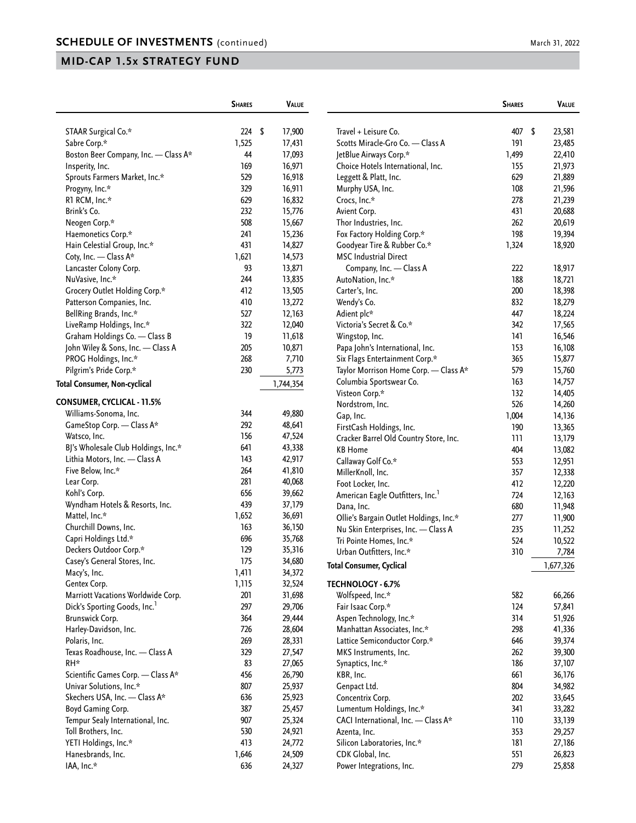|                                                    | <b>SHARES</b> | <b>VALUE</b>     |                                                        | <b>SHARES</b> | <b>VALUE</b>     |
|----------------------------------------------------|---------------|------------------|--------------------------------------------------------|---------------|------------------|
| STAAR Surgical Co.*                                | 224S          | 17,900           | Travel + Leisure Co.                                   | 407           | \$<br>23,581     |
| Sabre Corp.*                                       | 1,525         | 17,431           | Scotts Miracle-Gro Co. - Class A                       | 191           | 23,485           |
| Boston Beer Company, Inc. - Class A*               | 44            | 17,093           | JetBlue Airways Corp.*                                 | 1,499         | 22,410           |
| Insperity, Inc.                                    | 169           | 16,971           | Choice Hotels International, Inc.                      | 155           | 21,973           |
| Sprouts Farmers Market, Inc.*                      | 529           | 16,918           | Leggett & Platt, Inc.                                  | 629           | 21,889           |
| Progyny, Inc.*                                     | 329           | 16,911           | Murphy USA, Inc.                                       | 108           | 21,596           |
| R1 RCM, Inc.*                                      | 629           | 16,832           | Crocs, Inc.*                                           | 278           | 21,239           |
| Brink's Co.                                        | 232           | 15,776           | Avient Corp.                                           | 431           | 20,688           |
| Neogen Corp.*                                      | 508           | 15,667           | Thor Industries, Inc.                                  | 262           | 20,619           |
| Haemonetics Corp.*                                 | 241           | 15,236           | Fox Factory Holding Corp.*                             | 198           | 19,394           |
| Hain Celestial Group, Inc.*                        | 431           | 14,827           | Goodyear Tire & Rubber Co.*                            | 1,324         | 18,920           |
| Coty, Inc. - Class A*                              | 1,621         | 14,573           | <b>MSC Industrial Direct</b>                           |               |                  |
| Lancaster Colony Corp.                             | 93            | 13,871           | Company, Inc. - Class A                                | 222           | 18,917           |
| NuVasive, Inc.*                                    | 244           | 13,835           | AutoNation, Inc.*                                      | 188           | 18,721           |
| Grocery Outlet Holding Corp.*                      | 412           | 13,505           | Carter's, Inc.                                         | 200           | 18,398           |
| Patterson Companies, Inc.                          | 410           | 13,272           | Wendy's Co.                                            | 832           | 18,279           |
| BellRing Brands, Inc.*                             | 527           | 12,163           | Adient plc*                                            | 447           | 18,224           |
| LiveRamp Holdings, Inc.*                           | 322           | 12,040           | Victoria's Secret & Co.*                               | 342           | 17,565           |
| Graham Holdings Co. - Class B                      | 19            | 11,618           | Wingstop, Inc.                                         | 141           | 16,546           |
| John Wiley & Sons, Inc. - Class A                  | 205           | 10,871           | Papa John's International, Inc.                        | 153           | 16,108           |
| PROG Holdings, Inc.*                               | 268           | 7,710            | Six Flags Entertainment Corp.*                         | 365           | 15,877           |
| Pilgrim's Pride Corp.*                             | 230           | 5,773            | Taylor Morrison Home Corp. - Class A*                  | 579           | 15,760           |
|                                                    |               |                  | Columbia Sportswear Co.                                | 163           | 14,757           |
| <b>Total Consumer, Non-cyclical</b>                |               | 1,744,354        | Visteon Corp.*                                         | 132           |                  |
| <b>CONSUMER, CYCLICAL - 11.5%</b>                  |               |                  |                                                        | 526           | 14,405           |
| Williams-Sonoma, Inc.                              | 344           | 49,880           | Nordstrom, Inc.                                        |               | 14,260           |
| GameStop Corp. - Class A*                          | 292           | 48,641           | Gap, Inc.                                              | 1,004<br>190  | 14,136           |
| Watsco, Inc.                                       | 156           | 47,524           | FirstCash Holdings, Inc.                               |               | 13,365           |
| BJ's Wholesale Club Holdings, Inc.*                | 641           | 43,338           | Cracker Barrel Old Country Store, Inc.                 | 111           | 13,179           |
| Lithia Motors, Inc. - Class A                      | 143           | 42,917           | <b>KB Home</b>                                         | 404           | 13,082           |
| Five Below, Inc.*                                  | 264           | 41,810           | Callaway Golf Co.*                                     | 553           | 12,951           |
| Lear Corp.                                         | 281           | 40,068           | MillerKnoll, Inc.                                      | 357           | 12,338           |
| Kohl's Corp.                                       | 656           | 39,662           | Foot Locker, Inc.                                      | 412           | 12,220           |
| Wyndham Hotels & Resorts, Inc.                     | 439           | 37,179           | American Eagle Outfitters, Inc. <sup>1</sup>           | 724           | 12,163           |
| Mattel, Inc.*                                      | 1,652         | 36,691           | Dana, Inc.                                             | 680           | 11,948           |
| Churchill Downs, Inc.                              | 163           | 36,150           | Ollie's Bargain Outlet Holdings, Inc.*                 | 277           | 11,900           |
| Capri Holdings Ltd.*                               | 696           | 35,768           | Nu Skin Enterprises, Inc. - Class A                    | 235           | 11,252           |
| Deckers Outdoor Corp.*                             | 129           | 35,316           | Tri Pointe Homes, Inc.*                                | 524           | 10,522           |
| Casey's General Stores, Inc.                       | 175           | 34,680           | Urban Outfitters, Inc.*                                | 310           | 7,784            |
|                                                    | 1,411         | 34,372           | <b>Total Consumer, Cyclical</b>                        |               | 1,677,326        |
| Macy's, Inc.                                       | 1,115         | 32,524           |                                                        |               |                  |
| Gentex Corp.<br>Marriott Vacations Worldwide Corp. | 201           | 31,698           | TECHNOLOGY - 6.7%<br>Wolfspeed, Inc.*                  | 582           | 66,266           |
|                                                    | 297           |                  | Fair Isaac Corp.*                                      | 124           |                  |
| Dick's Sporting Goods, Inc.<br>Brunswick Corp.     | 364           | 29,706<br>29,444 |                                                        | 314           | 57,841<br>51,926 |
| Harley-Davidson, Inc.                              | 726           | 28,604           | Aspen Technology, Inc.*<br>Manhattan Associates, Inc.* | 298           | 41,336           |
|                                                    |               |                  | Lattice Semiconductor Corp.*                           |               |                  |
| Polaris, Inc.                                      | 269           | 28,331           |                                                        | 646           | 39,374           |
| Texas Roadhouse, Inc. - Class A                    | 329           | 27,547           | MKS Instruments, Inc.                                  | 262           | 39,300           |
| RH*                                                | 83            | 27,065           | Synaptics, Inc.*                                       | 186           | 37,107           |
| Scientific Games Corp. - Class A*                  | 456           | 26,790           | KBR, Inc.                                              | 661           | 36,176           |
| Univar Solutions, Inc.*                            | 807           | 25,937           | Genpact Ltd.                                           | 804           | 34,982           |
| Skechers USA, Inc. - Class A*                      | 636           | 25,923           | Concentrix Corp.                                       | 202           | 33,645           |
| Boyd Gaming Corp.                                  | 387           | 25,457           | Lumentum Holdings, Inc.*                               | 341           | 33,282           |
| Tempur Sealy International, Inc.                   | 907           | 25,324           | CACI International, Inc. - Class A*                    | 110           | 33,139           |
| Toll Brothers, Inc.                                | 530           | 24,921           | Azenta, Inc.                                           | 353           | 29,257           |
| YETI Holdings, Inc.*                               | 413           | 24,772           | Silicon Laboratories, Inc.*                            | 181           | 27,186           |
| Hanesbrands, Inc.                                  | 1,646         | 24,509           | CDK Global, Inc.                                       | 551           | 26,823           |
| IAA, Inc.*                                         | 636           | 24,327           | Power Integrations, Inc.                               | 279           | 25,858           |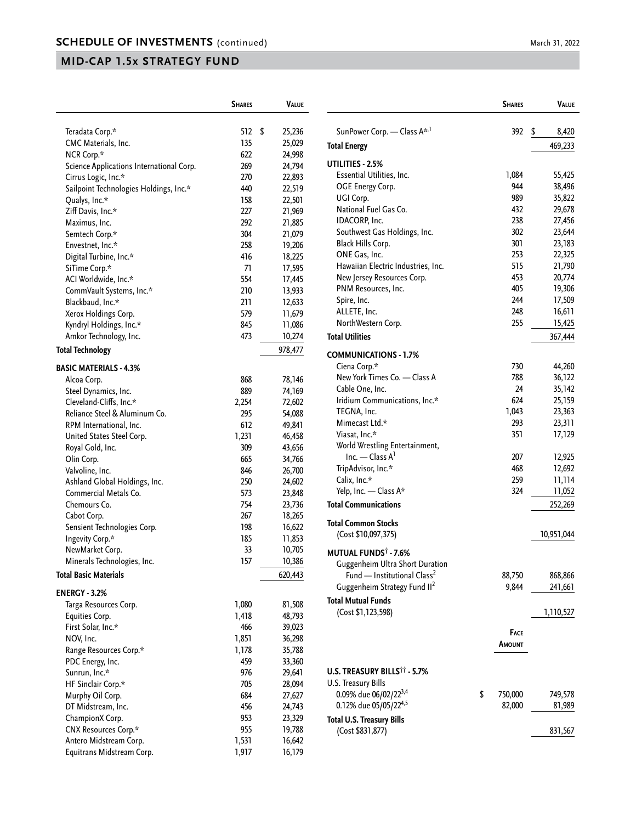| Teradata Corp.*<br>512<br>\$<br>25,236<br>CMC Materials, Inc.<br>135<br>25,029<br>NCR Corp.*<br>622<br>24,998<br>Science Applications International Corp.<br>269<br>24,794<br>Cirrus Logic, Inc.*<br>270<br>22,893<br>Sailpoint Technologies Holdings, Inc.*<br>440<br>22,519<br>Qualys, Inc.*<br>158<br>22,501<br>Ziff Davis, Inc.*<br>227<br>21,969<br>Maximus, Inc.<br>292<br>21,885<br>304<br>Semtech Corp.*<br>21,079<br>Envestnet, Inc.*<br>258<br>19,206<br>Digital Turbine, Inc.*<br>416<br>18,225<br>SiTime Corp.*<br>71<br>17,595<br>ACI Worldwide, Inc.*<br>554<br>17,445<br>CommVault Systems, Inc.*<br>210<br>13,933<br>Blackbaud, Inc.*<br>211<br>12,633<br>Xerox Holdings Corp.<br>579<br>11,679<br>Kyndryl Holdings, Inc.*<br>845<br>11,086<br>Amkor Technology, Inc.<br>473<br>10,274<br><b>Total Technology</b><br>978,477<br><b>BASIC MATERIALS - 4.3%</b><br>Alcoa Corp.<br>868<br>78,146<br>Steel Dynamics, Inc.<br>889<br>74,169<br>Cleveland-Cliffs, Inc.*<br>2,254<br>72,602<br>Reliance Steel & Aluminum Co.<br>295<br>54,088<br>RPM International, Inc.<br>612<br>49,841<br>United States Steel Corp.<br>46,458<br>1,231<br>Royal Gold, Inc.<br>309<br>43,656<br>Olin Corp.<br>665<br>34,766<br>Valvoline, Inc.<br>846<br>26,700<br>Ashland Global Holdings, Inc.<br>250<br>24,602<br>Commercial Metals Co.<br>573<br>23,848<br>Chemours Co.<br>754<br>23,736<br>18,265<br>Cabot Corp.<br>267<br>Sensient Technologies Corp.<br>198<br>16,622<br>Ingevity Corp.*<br>185<br>11,853 |                 | <b>SHARES</b> | VALUE  |
|-------------------------------------------------------------------------------------------------------------------------------------------------------------------------------------------------------------------------------------------------------------------------------------------------------------------------------------------------------------------------------------------------------------------------------------------------------------------------------------------------------------------------------------------------------------------------------------------------------------------------------------------------------------------------------------------------------------------------------------------------------------------------------------------------------------------------------------------------------------------------------------------------------------------------------------------------------------------------------------------------------------------------------------------------------------------------------------------------------------------------------------------------------------------------------------------------------------------------------------------------------------------------------------------------------------------------------------------------------------------------------------------------------------------------------------------------------------------------------------------------------------|-----------------|---------------|--------|
|                                                                                                                                                                                                                                                                                                                                                                                                                                                                                                                                                                                                                                                                                                                                                                                                                                                                                                                                                                                                                                                                                                                                                                                                                                                                                                                                                                                                                                                                                                             |                 |               |        |
|                                                                                                                                                                                                                                                                                                                                                                                                                                                                                                                                                                                                                                                                                                                                                                                                                                                                                                                                                                                                                                                                                                                                                                                                                                                                                                                                                                                                                                                                                                             |                 |               |        |
|                                                                                                                                                                                                                                                                                                                                                                                                                                                                                                                                                                                                                                                                                                                                                                                                                                                                                                                                                                                                                                                                                                                                                                                                                                                                                                                                                                                                                                                                                                             |                 |               |        |
|                                                                                                                                                                                                                                                                                                                                                                                                                                                                                                                                                                                                                                                                                                                                                                                                                                                                                                                                                                                                                                                                                                                                                                                                                                                                                                                                                                                                                                                                                                             |                 |               |        |
|                                                                                                                                                                                                                                                                                                                                                                                                                                                                                                                                                                                                                                                                                                                                                                                                                                                                                                                                                                                                                                                                                                                                                                                                                                                                                                                                                                                                                                                                                                             |                 |               |        |
|                                                                                                                                                                                                                                                                                                                                                                                                                                                                                                                                                                                                                                                                                                                                                                                                                                                                                                                                                                                                                                                                                                                                                                                                                                                                                                                                                                                                                                                                                                             |                 |               |        |
|                                                                                                                                                                                                                                                                                                                                                                                                                                                                                                                                                                                                                                                                                                                                                                                                                                                                                                                                                                                                                                                                                                                                                                                                                                                                                                                                                                                                                                                                                                             |                 |               |        |
|                                                                                                                                                                                                                                                                                                                                                                                                                                                                                                                                                                                                                                                                                                                                                                                                                                                                                                                                                                                                                                                                                                                                                                                                                                                                                                                                                                                                                                                                                                             |                 |               |        |
|                                                                                                                                                                                                                                                                                                                                                                                                                                                                                                                                                                                                                                                                                                                                                                                                                                                                                                                                                                                                                                                                                                                                                                                                                                                                                                                                                                                                                                                                                                             |                 |               |        |
|                                                                                                                                                                                                                                                                                                                                                                                                                                                                                                                                                                                                                                                                                                                                                                                                                                                                                                                                                                                                                                                                                                                                                                                                                                                                                                                                                                                                                                                                                                             |                 |               |        |
|                                                                                                                                                                                                                                                                                                                                                                                                                                                                                                                                                                                                                                                                                                                                                                                                                                                                                                                                                                                                                                                                                                                                                                                                                                                                                                                                                                                                                                                                                                             |                 |               |        |
|                                                                                                                                                                                                                                                                                                                                                                                                                                                                                                                                                                                                                                                                                                                                                                                                                                                                                                                                                                                                                                                                                                                                                                                                                                                                                                                                                                                                                                                                                                             |                 |               |        |
|                                                                                                                                                                                                                                                                                                                                                                                                                                                                                                                                                                                                                                                                                                                                                                                                                                                                                                                                                                                                                                                                                                                                                                                                                                                                                                                                                                                                                                                                                                             |                 |               |        |
|                                                                                                                                                                                                                                                                                                                                                                                                                                                                                                                                                                                                                                                                                                                                                                                                                                                                                                                                                                                                                                                                                                                                                                                                                                                                                                                                                                                                                                                                                                             |                 |               |        |
|                                                                                                                                                                                                                                                                                                                                                                                                                                                                                                                                                                                                                                                                                                                                                                                                                                                                                                                                                                                                                                                                                                                                                                                                                                                                                                                                                                                                                                                                                                             |                 |               |        |
|                                                                                                                                                                                                                                                                                                                                                                                                                                                                                                                                                                                                                                                                                                                                                                                                                                                                                                                                                                                                                                                                                                                                                                                                                                                                                                                                                                                                                                                                                                             |                 |               |        |
|                                                                                                                                                                                                                                                                                                                                                                                                                                                                                                                                                                                                                                                                                                                                                                                                                                                                                                                                                                                                                                                                                                                                                                                                                                                                                                                                                                                                                                                                                                             |                 |               |        |
|                                                                                                                                                                                                                                                                                                                                                                                                                                                                                                                                                                                                                                                                                                                                                                                                                                                                                                                                                                                                                                                                                                                                                                                                                                                                                                                                                                                                                                                                                                             |                 |               |        |
|                                                                                                                                                                                                                                                                                                                                                                                                                                                                                                                                                                                                                                                                                                                                                                                                                                                                                                                                                                                                                                                                                                                                                                                                                                                                                                                                                                                                                                                                                                             |                 |               |        |
|                                                                                                                                                                                                                                                                                                                                                                                                                                                                                                                                                                                                                                                                                                                                                                                                                                                                                                                                                                                                                                                                                                                                                                                                                                                                                                                                                                                                                                                                                                             |                 |               |        |
|                                                                                                                                                                                                                                                                                                                                                                                                                                                                                                                                                                                                                                                                                                                                                                                                                                                                                                                                                                                                                                                                                                                                                                                                                                                                                                                                                                                                                                                                                                             |                 |               |        |
|                                                                                                                                                                                                                                                                                                                                                                                                                                                                                                                                                                                                                                                                                                                                                                                                                                                                                                                                                                                                                                                                                                                                                                                                                                                                                                                                                                                                                                                                                                             |                 |               |        |
|                                                                                                                                                                                                                                                                                                                                                                                                                                                                                                                                                                                                                                                                                                                                                                                                                                                                                                                                                                                                                                                                                                                                                                                                                                                                                                                                                                                                                                                                                                             |                 |               |        |
|                                                                                                                                                                                                                                                                                                                                                                                                                                                                                                                                                                                                                                                                                                                                                                                                                                                                                                                                                                                                                                                                                                                                                                                                                                                                                                                                                                                                                                                                                                             |                 |               |        |
|                                                                                                                                                                                                                                                                                                                                                                                                                                                                                                                                                                                                                                                                                                                                                                                                                                                                                                                                                                                                                                                                                                                                                                                                                                                                                                                                                                                                                                                                                                             |                 |               |        |
|                                                                                                                                                                                                                                                                                                                                                                                                                                                                                                                                                                                                                                                                                                                                                                                                                                                                                                                                                                                                                                                                                                                                                                                                                                                                                                                                                                                                                                                                                                             |                 |               |        |
|                                                                                                                                                                                                                                                                                                                                                                                                                                                                                                                                                                                                                                                                                                                                                                                                                                                                                                                                                                                                                                                                                                                                                                                                                                                                                                                                                                                                                                                                                                             |                 |               |        |
|                                                                                                                                                                                                                                                                                                                                                                                                                                                                                                                                                                                                                                                                                                                                                                                                                                                                                                                                                                                                                                                                                                                                                                                                                                                                                                                                                                                                                                                                                                             |                 |               |        |
|                                                                                                                                                                                                                                                                                                                                                                                                                                                                                                                                                                                                                                                                                                                                                                                                                                                                                                                                                                                                                                                                                                                                                                                                                                                                                                                                                                                                                                                                                                             |                 |               |        |
|                                                                                                                                                                                                                                                                                                                                                                                                                                                                                                                                                                                                                                                                                                                                                                                                                                                                                                                                                                                                                                                                                                                                                                                                                                                                                                                                                                                                                                                                                                             |                 |               |        |
|                                                                                                                                                                                                                                                                                                                                                                                                                                                                                                                                                                                                                                                                                                                                                                                                                                                                                                                                                                                                                                                                                                                                                                                                                                                                                                                                                                                                                                                                                                             |                 |               |        |
|                                                                                                                                                                                                                                                                                                                                                                                                                                                                                                                                                                                                                                                                                                                                                                                                                                                                                                                                                                                                                                                                                                                                                                                                                                                                                                                                                                                                                                                                                                             |                 |               |        |
|                                                                                                                                                                                                                                                                                                                                                                                                                                                                                                                                                                                                                                                                                                                                                                                                                                                                                                                                                                                                                                                                                                                                                                                                                                                                                                                                                                                                                                                                                                             |                 |               |        |
|                                                                                                                                                                                                                                                                                                                                                                                                                                                                                                                                                                                                                                                                                                                                                                                                                                                                                                                                                                                                                                                                                                                                                                                                                                                                                                                                                                                                                                                                                                             |                 |               |        |
|                                                                                                                                                                                                                                                                                                                                                                                                                                                                                                                                                                                                                                                                                                                                                                                                                                                                                                                                                                                                                                                                                                                                                                                                                                                                                                                                                                                                                                                                                                             |                 |               |        |
|                                                                                                                                                                                                                                                                                                                                                                                                                                                                                                                                                                                                                                                                                                                                                                                                                                                                                                                                                                                                                                                                                                                                                                                                                                                                                                                                                                                                                                                                                                             |                 |               |        |
|                                                                                                                                                                                                                                                                                                                                                                                                                                                                                                                                                                                                                                                                                                                                                                                                                                                                                                                                                                                                                                                                                                                                                                                                                                                                                                                                                                                                                                                                                                             |                 |               |        |
|                                                                                                                                                                                                                                                                                                                                                                                                                                                                                                                                                                                                                                                                                                                                                                                                                                                                                                                                                                                                                                                                                                                                                                                                                                                                                                                                                                                                                                                                                                             | NewMarket Corp. | 33            | 10,705 |
| Minerals Technologies, Inc.<br>157<br>10,386                                                                                                                                                                                                                                                                                                                                                                                                                                                                                                                                                                                                                                                                                                                                                                                                                                                                                                                                                                                                                                                                                                                                                                                                                                                                                                                                                                                                                                                                |                 |               |        |
| <b>Total Basic Materials</b><br>620,443                                                                                                                                                                                                                                                                                                                                                                                                                                                                                                                                                                                                                                                                                                                                                                                                                                                                                                                                                                                                                                                                                                                                                                                                                                                                                                                                                                                                                                                                     |                 |               |        |
| <b>ENERGY - 3.2%</b>                                                                                                                                                                                                                                                                                                                                                                                                                                                                                                                                                                                                                                                                                                                                                                                                                                                                                                                                                                                                                                                                                                                                                                                                                                                                                                                                                                                                                                                                                        |                 |               |        |
| Targa Resources Corp.<br>1,080<br>81,508                                                                                                                                                                                                                                                                                                                                                                                                                                                                                                                                                                                                                                                                                                                                                                                                                                                                                                                                                                                                                                                                                                                                                                                                                                                                                                                                                                                                                                                                    |                 |               |        |
| Equities Corp.<br>1,418<br>48,793                                                                                                                                                                                                                                                                                                                                                                                                                                                                                                                                                                                                                                                                                                                                                                                                                                                                                                                                                                                                                                                                                                                                                                                                                                                                                                                                                                                                                                                                           |                 |               |        |
| First Solar, Inc.*<br>466<br>39,023                                                                                                                                                                                                                                                                                                                                                                                                                                                                                                                                                                                                                                                                                                                                                                                                                                                                                                                                                                                                                                                                                                                                                                                                                                                                                                                                                                                                                                                                         |                 |               |        |
| NOV, Inc.<br>1,851<br>36,298                                                                                                                                                                                                                                                                                                                                                                                                                                                                                                                                                                                                                                                                                                                                                                                                                                                                                                                                                                                                                                                                                                                                                                                                                                                                                                                                                                                                                                                                                |                 |               |        |
| 35,788<br>Range Resources Corp.*<br>1,178                                                                                                                                                                                                                                                                                                                                                                                                                                                                                                                                                                                                                                                                                                                                                                                                                                                                                                                                                                                                                                                                                                                                                                                                                                                                                                                                                                                                                                                                   |                 |               |        |
| PDC Energy, Inc.<br>459<br>33,360                                                                                                                                                                                                                                                                                                                                                                                                                                                                                                                                                                                                                                                                                                                                                                                                                                                                                                                                                                                                                                                                                                                                                                                                                                                                                                                                                                                                                                                                           |                 |               |        |
| Sunrun, Inc.*<br>976<br>29,641                                                                                                                                                                                                                                                                                                                                                                                                                                                                                                                                                                                                                                                                                                                                                                                                                                                                                                                                                                                                                                                                                                                                                                                                                                                                                                                                                                                                                                                                              |                 |               |        |
| HF Sinclair Corp.*<br>705<br>28,094                                                                                                                                                                                                                                                                                                                                                                                                                                                                                                                                                                                                                                                                                                                                                                                                                                                                                                                                                                                                                                                                                                                                                                                                                                                                                                                                                                                                                                                                         |                 |               |        |
| 684<br>Murphy Oil Corp.<br>27,627                                                                                                                                                                                                                                                                                                                                                                                                                                                                                                                                                                                                                                                                                                                                                                                                                                                                                                                                                                                                                                                                                                                                                                                                                                                                                                                                                                                                                                                                           |                 |               |        |
| DT Midstream, Inc.<br>456<br>24,743                                                                                                                                                                                                                                                                                                                                                                                                                                                                                                                                                                                                                                                                                                                                                                                                                                                                                                                                                                                                                                                                                                                                                                                                                                                                                                                                                                                                                                                                         |                 |               |        |
| ChampionX Corp.<br>953<br>23,329                                                                                                                                                                                                                                                                                                                                                                                                                                                                                                                                                                                                                                                                                                                                                                                                                                                                                                                                                                                                                                                                                                                                                                                                                                                                                                                                                                                                                                                                            |                 |               |        |
| CNX Resources Corp.*<br>955<br>19,788                                                                                                                                                                                                                                                                                                                                                                                                                                                                                                                                                                                                                                                                                                                                                                                                                                                                                                                                                                                                                                                                                                                                                                                                                                                                                                                                                                                                                                                                       |                 |               |        |
| Antero Midstream Corp.<br>1,531<br>16,642                                                                                                                                                                                                                                                                                                                                                                                                                                                                                                                                                                                                                                                                                                                                                                                                                                                                                                                                                                                                                                                                                                                                                                                                                                                                                                                                                                                                                                                                   |                 |               |        |
| Equitrans Midstream Corp.<br>1,917<br>16,179                                                                                                                                                                                                                                                                                                                                                                                                                                                                                                                                                                                                                                                                                                                                                                                                                                                                                                                                                                                                                                                                                                                                                                                                                                                                                                                                                                                                                                                                |                 |               |        |

|                                                      | <b>SHARES</b> | Value       |
|------------------------------------------------------|---------------|-------------|
| SunPower Corp. - Class A <sup>*,1</sup>              | 392           | \$<br>8,420 |
| Total Energy                                         |               | 469,233     |
|                                                      |               |             |
| UTILITIES - 2.5%                                     |               |             |
| Essential Utilities, Inc.                            | 1,084         | 55,425      |
| OGE Energy Corp.                                     | 944           | 38,496      |
| UGI Corp.                                            | 989           | 35,822      |
| National Fuel Gas Co.                                | 432           | 29,678      |
| IDACORP, Inc.                                        | 238           | 27,456      |
| Southwest Gas Holdings, Inc.                         | 302           | 23,644      |
| Black Hills Corp.                                    | 301           | 23,183      |
| ONE Gas, Inc.                                        | 253           | 22,325      |
| Hawaiian Electric Industries, Inc.                   | 515           | 21,790      |
| New Jersey Resources Corp.                           | 453           | 20,774      |
| PNM Resources, Inc.                                  | 405           | 19,306      |
| Spire, Inc.                                          | 244           | 17,509      |
| ALLETE, Inc.                                         | 248           | 16,611      |
| NorthWestern Corp.                                   | 255           | 15,425      |
| <b>Total Utilities</b>                               |               | 367,444     |
| COMMUNICATIONS - 1.7%                                |               |             |
| Ciena Corp.*                                         | 730           | 44,260      |
| New York Times Co. - Class A                         | 788           | 36,122      |
| Cable One, Inc.                                      | 24            | 35,142      |
| Iridium Communications, Inc.*                        | 624           | 25,159      |
| TEGNA, Inc.                                          | 1,043         | 23,363      |
| Mimecast Ltd.*                                       | 293           | 23,311      |
| Viasat, Inc.*                                        | 351           | 17,129      |
| World Wrestling Entertainment,                       |               |             |
| Inc. — Class $A^1$                                   | 207           | 12,925      |
| TripAdvisor, Inc.*                                   | 468           | 12,692      |
| Calix, Inc.*                                         | 259           | 11,114      |
| Yelp, Inc. - Class A*                                | 324           | 11,052      |
| <b>Total Communications</b>                          |               | 252,269     |
| <b>Total Common Stocks</b>                           |               |             |
| (Cost \$10,097,375)                                  |               | 10,951,044  |
|                                                      |               |             |
| <b>MUTUAL FUNDS<sup>†</sup> - 7.6%</b>               |               |             |
| Guggenheim Ultra Short Duration                      |               |             |
| Fund - Institutional Class <sup>2</sup>              | 88,750        | 868,866     |
| Guggenheim Strategy Fund II <sup>2</sup>             | 9,844         | 241,661     |
| <b>Total Mutual Funds</b>                            |               |             |
| (Cost \$1,123,598)                                   |               | 1,110,527   |
|                                                      | Face          |             |
|                                                      | Amount        |             |
|                                                      |               |             |
| U.S. TREASURY BILLS <sup>††</sup> - 5.7%             |               |             |
| U.S. Treasury Bills                                  |               |             |
| 0.09% due 06/02/22 <sup>3,4</sup>                    | \$<br>750,000 | 749,578     |
| 0.12% due 05/05/22 <sup>4,5</sup>                    | 82,000        | 81,989      |
|                                                      |               |             |
| <b>Total U.S. Treasury Bills</b><br>(Cost \$831,877) |               | 831,567     |
|                                                      |               |             |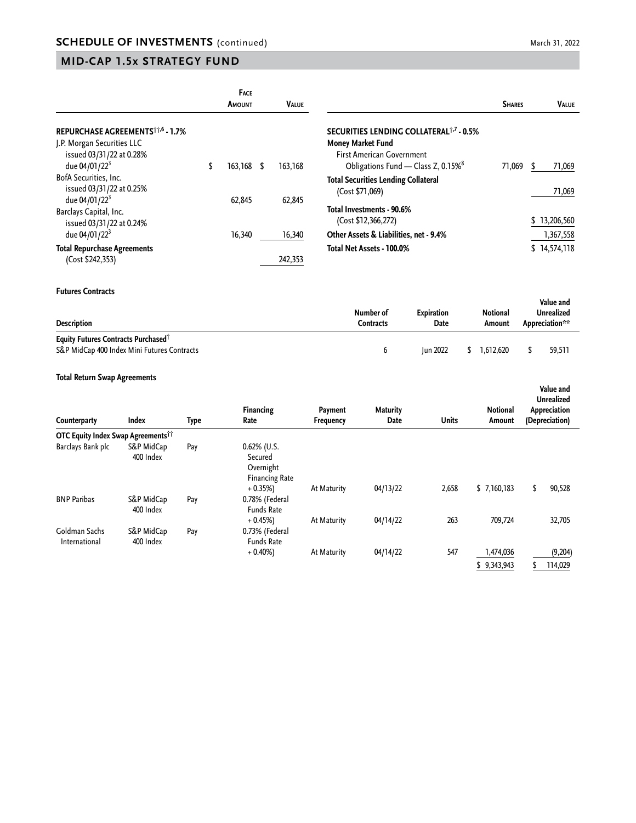|                                              | <b>FACE</b><br>Amount | <b>VALUE</b> |                                                     | <b>SHARES</b> | <b>VALUE</b> |
|----------------------------------------------|-----------------------|--------------|-----------------------------------------------------|---------------|--------------|
| REPURCHASE AGREEMENTS <sup>11,6</sup> - 1.7% |                       |              | SECURITIES LENDING COLLATERAL <sup>1,7</sup> - 0.5% |               |              |
| J.P. Morgan Securities LLC                   |                       |              | Money Market Fund                                   |               |              |
| issued 03/31/22 at 0.28%                     |                       |              | <b>First American Government</b>                    |               |              |
| due 04/01/22 <sup>3</sup>                    | \$<br>$163,168$ \$    | 163,168      | Obligations Fund - Class Z, 0.15% <sup>8</sup>      | 71.069        | 71,069       |
| BofA Securities, Inc.                        |                       |              | <b>Total Securities Lending Collateral</b>          |               |              |
| issued 03/31/22 at 0.25%                     |                       |              | (Cost \$71,069)                                     |               | 71,069       |
| due 04/01/22 <sup>3</sup>                    | 62,845                | 62,845       |                                                     |               |              |
| Barclays Capital, Inc.                       |                       |              | Total Investments - 90.6%                           |               |              |
| issued 03/31/22 at 0.24%                     |                       |              | (Cost \$12,366,272)                                 |               | \$13,206,560 |
| due 04/01/22 <sup>3</sup>                    | 16,340                | 16,340       | Other Assets & Liabilities, net - 9.4%              |               | 1,367,558    |
| <b>Total Repurchase Agreements</b>           |                       |              | Total Net Assets - 100.0%                           |               | \$14,574,118 |
| (Cost \$242,353)                             |                       | 242,353      |                                                     |               |              |

#### **Futures Contracts**

| <b>Description</b>                                                                                    | Number of<br>Contracts | Expiration<br>Date | Notional<br>Amount | Value and<br>Unrealized<br>Appreciation** |
|-------------------------------------------------------------------------------------------------------|------------------------|--------------------|--------------------|-------------------------------------------|
| <b>Equity Futures Contracts Purchased</b> <sup>†</sup><br>S&P MidCap 400 Index Mini Futures Contracts |                        | <b>Iun 2022</b>    | 1.612.620          | 59.511                                    |

#### **Total Return Swap Agreements**

| Counterparty                                   | <b>Index</b>            | Type | Financing<br>Rate                                                           | Payment<br>Frequency | <b>Maturity</b><br>Date | <b>Units</b> | <b>Notional</b><br>Amount | Value and<br><b>Unrealized</b><br>Appreciation<br>(Depreciation) |
|------------------------------------------------|-------------------------|------|-----------------------------------------------------------------------------|----------------------|-------------------------|--------------|---------------------------|------------------------------------------------------------------|
| OTC Equity Index Swap Agreements <sup>11</sup> |                         |      |                                                                             |                      |                         |              |                           |                                                                  |
| Barclays Bank plc                              | S&P MidCap<br>400 Index | Pay  | $0.62\%$ (U.S.<br>Secured<br>Overnight<br><b>Financing Rate</b><br>$+0.35%$ | At Maturity          | 04/13/22                | 2,658        | \$7,160,183               | 90,528<br>\$                                                     |
| <b>BNP Paribas</b>                             | S&P MidCap<br>400 Index | Pay  | 0.78% (Federal<br><b>Funds Rate</b>                                         |                      |                         |              |                           |                                                                  |
| Goldman Sachs<br>International                 | S&P MidCap<br>400 Index | Pay  | $+0.45%$<br>0.73% (Federal<br><b>Funds Rate</b>                             | At Maturity          | 04/14/22                | 263          | 709,724                   | 32,705                                                           |
|                                                |                         |      | $+0.40%$                                                                    | At Maturity          | 04/14/22                | 547          | 1,474,036                 | (9,204)                                                          |
|                                                |                         |      |                                                                             |                      |                         |              | \$9,343,943               | 114,029                                                          |